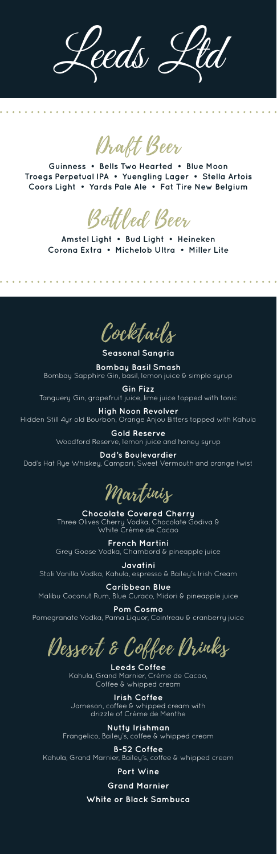Leeds Ltd

Draft Beer

**Guinness • Bells Two Hearted • Blue Moon Troegs Perpetual IPA • Yuengling Lager • Stella Artois Coors Light • Yards Pale Ale • Fat Tire New Belgium**

Bottled Beer

**Amstel Light • Bud Light • Heineken Corona Extra • Michelob Ultra • Miller Lite**

Cocktails

**Seasonal Sangria Bombay Basil Smash** Bombay Sapphire Gin, basil, lemon juice & simple syrup

**Gin Fizz** Tanguery Gin, grapefruit juice, lime juice topped with tonic

**Javatini** Stoli Vanilla Vodka, Kahula, espresso & Bailey's Irish Cream

**High Noon Revolver** Hidden Still 4yr old Bourbon, Orange Anjou Bitters topped with Kahula

> **Gold Reserve** Woodford Reserve, lemon juice and honey syrup

**Dad's Boulevardier** Dad's Hat Rye Whiskey, Campari, Sweet Vermouth and orange twist

Martinis

**Chocolate Covered Cherry** Three Olives Cherry Vodka, Chocolate Godiva & White Crème de Cacao

**French Martini** Grey Goose Vodka, Chambord & pineapple juice

**Caribbean Blue** Malibu Coconut Rum, Blue Curaco, Midori & pineapple juice

**Pom Cosmo** Pomegranate Vodka, Pama Liquor, Cointreau & cranberry juice

Dessert & Coffee Drinks

**Leeds Coffee** Kahula, Grand Marnier, Crème de Cacao, Coffee & whipped cream

**Irish Coffee** Jameson, coffee & whipped cream with drizzle of Crème de Menthe

**Nutty Irishman** Frangelico, Bailey's, coffee & whipped cream

**B-52 Coffee**

Kahula, Grand Marnier, Bailey's, coffee & whipped cream

**Port Wine**

**Grand Marnier**

**White or Black Sambuca**